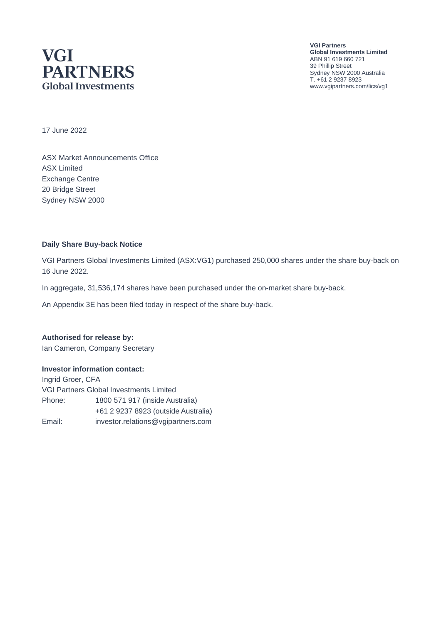## **VGI PARTNERS Global Investments**

**VGI Partners Global Investments Limited** ABN 91 619 660 721 39 Phillip Street Sydney NSW 2000 Australia T. +61 2 9237 8923 www.vgipartners.com/lics/vg1

17 June 2022

ASX Market Announcements Office ASX Limited Exchange Centre 20 Bridge Street Sydney NSW 2000

#### **Daily Share Buy-back Notice**

VGI Partners Global Investments Limited (ASX:VG1) purchased 250,000 shares under the share buy-back on 16 June 2022.

In aggregate, 31,536,174 shares have been purchased under the on-market share buy-back.

An Appendix 3E has been filed today in respect of the share buy-back.

**Authorised for release by:** Ian Cameron, Company Secretary

#### **Investor information contact:**

Ingrid Groer, CFA VGI Partners Global Investments Limited Phone: 1800 571 917 (inside Australia) +61 2 9237 8923 (outside Australia) Email: investor.relations@vgipartners.com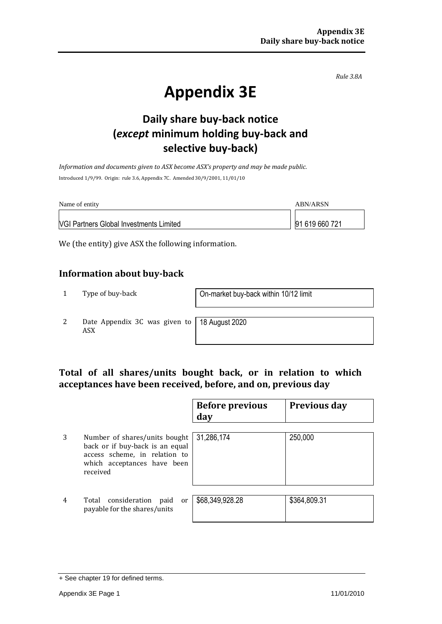*Rule 3.8A*

# **Appendix 3E**

## **Daily share buy-back notice (***except* **minimum holding buy-back and selective buy-back)**

*Information and documents given to ASX become ASX's property and may be made public.* Introduced 1/9/99. Origin: rule 3.6, Appendix 7C. Amended 30/9/2001, 11/01/10

| Name of entity                                 | ABN/ARSN       |
|------------------------------------------------|----------------|
| <b>VGI Partners Global Investments Limited</b> | 91 619 660 721 |

We (the entity) give ASX the following information.

#### **Information about buy-back**

1 Type of buy-back On-market buy-back within 10/12 limit

2 Date Appendix 3C was given to ASX

18 August 2020

#### **Total of all shares/units bought back, or in relation to which acceptances have been received, before, and on, previous day**

|   |                                                                                                                                              | <b>Before previous</b><br>day | <b>Previous day</b> |
|---|----------------------------------------------------------------------------------------------------------------------------------------------|-------------------------------|---------------------|
| 3 | Number of shares/units bought<br>back or if buy-back is an equal<br>access scheme, in relation to<br>which acceptances have been<br>received | 31,286,174                    | 250,000             |
| 4 | Total consideration<br>paid<br>or<br>payable for the shares/units                                                                            | \$68,349,928.28               | \$364,809.31        |

<sup>+</sup> See chapter 19 for defined terms.